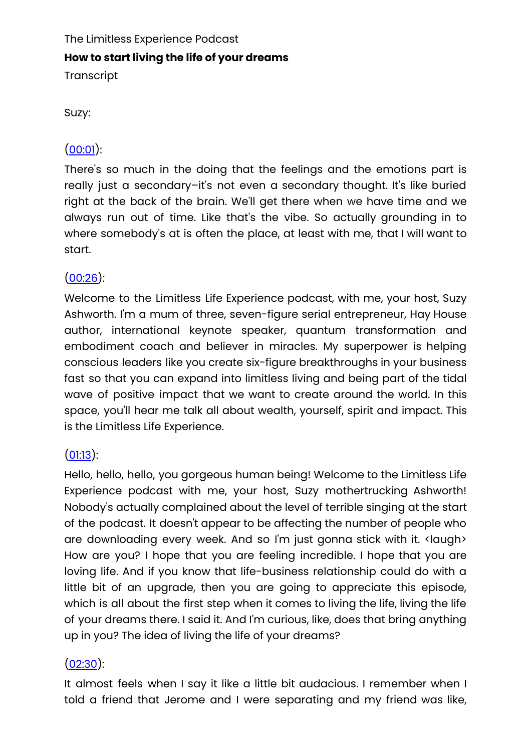# The Limitless Experience Podcast **How to start living the life of your dreams**

**Transcript** 

#### Suzy:

# $(00:01):$  $(00:01):$

There's so much in the doing that the feelings and the emotions part is really just a secondary–it's not even a secondary thought. It's like buried right at the back of the brain. We'll get there when we have time and we always run out of time. Like that's the vibe. So actually grounding in to where somebody's at is often the place, at least with me, that I will want to start.

## [\(00:26\)](https://www.rev.com/transcript-editor/shared/4ePMLX1zlD0Heeom_BlUVz1Zpy1Oc1QDcOsBX0jN7BdWzDJ3_x5xISNNORzE4eMHDPkX739HSUV2jHUU0aMmjMrdfFc?loadFrom=DocumentDeeplink&ts=26.95):

Welcome to the Limitless Life Experience podcast, with me, your host, Suzy Ashworth. I'm a mum of three, seven-figure serial entrepreneur, Hay House author, international keynote speaker, quantum transformation and embodiment coach and believer in miracles. My superpower is helping conscious leaders like you create six-figure breakthroughs in your business fast so that you can expand into limitless living and being part of the tidal wave of positive impact that we want to create around the world. In this space, you'll hear me talk all about wealth, yourself, spirit and impact. This is the Limitless Life Experience.

## $(01:13):$  $(01:13):$

Hello, hello, hello, you gorgeous human being! Welcome to the Limitless Life Experience podcast with me, your host, Suzy mothertrucking Ashworth! Nobody's actually complained about the level of terrible singing at the start of the podcast. It doesn't appear to be affecting the number of people who are downloading every week. And so I'm just gonna stick with it. <laugh> How are you? I hope that you are feeling incredible. I hope that you are loving life. And if you know that life-business relationship could do with a little bit of an upgrade, then you are going to appreciate this episode, which is all about the first step when it comes to living the life, living the life of your dreams there. I said it. And I'm curious, like, does that bring anything up in you? The idea of living the life of your dreams?

#### $(02:30)$  $(02:30)$ :

It almost feels when I say it like a little bit audacious. I remember when I told a friend that Jerome and I were separating and my friend was like,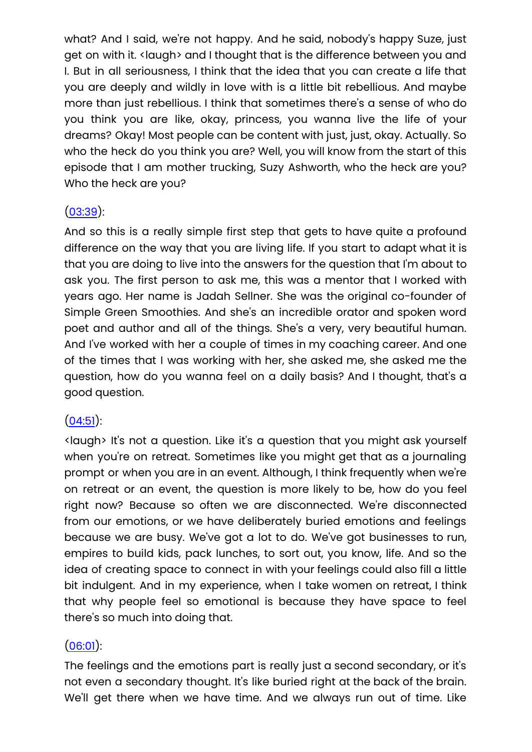what? And I said, we're not happy. And he said, nobody's happy Suze, just get on with it. < laugh> and I thought that is the difference between you and I. But in all seriousness, I think that the idea that you can create a life that you are deeply and wildly in love with is a little bit rebellious. And maybe more than just rebellious. I think that sometimes there's a sense of who do you think you are like, okay, princess, you wanna live the life of your dreams? Okay! Most people can be content with just, just, okay. Actually. So who the heck do you think you are? Well, you will know from the start of this episode that I am mother trucking, Suzy Ashworth, who the heck are you? Who the heck are you?

#### [\(03:39](https://www.rev.com/transcript-editor/shared/4ePMLX1zlD0Heeom_BlUVz1Zpy1Oc1QDcOsBX0jN7BdWzDJ3_x5xISNNORzE4eMHDPkX739HSUV2jHUU0aMmjMrdfFc?loadFrom=DocumentDeeplink&ts=219.84)):

And so this is a really simple first step that gets to have quite a profound difference on the way that you are living life. If you start to adapt what it is that you are doing to live into the answers for the question that I'm about to ask you. The first person to ask me, this was a mentor that I worked with years ago. Her name is Jadah Sellner. She was the original co-founder of Simple Green Smoothies. And she's an incredible orator and spoken word poet and author and all of the things. She's a very, very beautiful human. And I've worked with her a couple of times in my coaching career. And one of the times that I was working with her, she asked me, she asked me the question, how do you wanna feel on a daily basis? And I thought, that's a good question.

## $(04:51)$  $(04:51)$ :

<laugh> It's not a question. Like it's a question that you might ask yourself when you're on retreat. Sometimes like you might get that as a journaling prompt or when you are in an event. Although, I think frequently when we're on retreat or an event, the question is more likely to be, how do you feel right now? Because so often we are disconnected. We're disconnected from our emotions, or we have deliberately buried emotions and feelings because we are busy. We've got a lot to do. We've got businesses to run, empires to build kids, pack lunches, to sort out, you know, life. And so the idea of creating space to connect in with your feelings could also fill a little bit indulgent. And in my experience, when I take women on retreat, I think that why people feel so emotional is because they have space to feel there's so much into doing that.

## $(06:01):$  $(06:01):$

The feelings and the emotions part is really just a second secondary, or it's not even a secondary thought. It's like buried right at the back of the brain. We'll get there when we have time. And we always run out of time. Like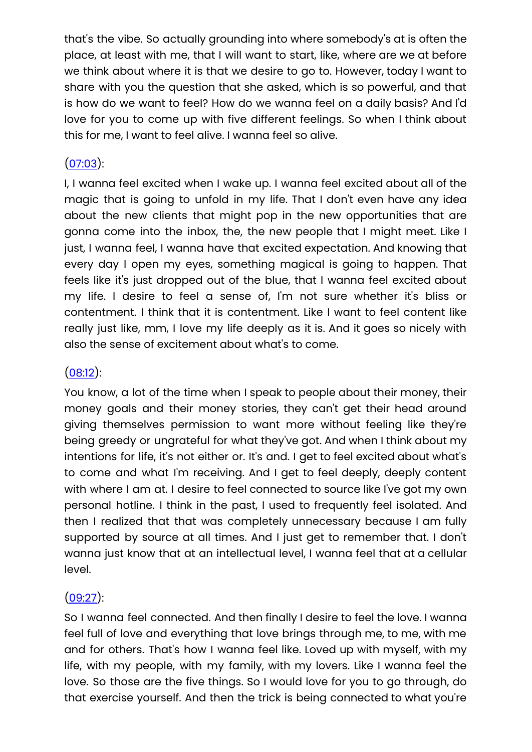that's the vibe. So actually grounding into where somebody's at is often the place, at least with me, that I will want to start, like, where are we at before we think about where it is that we desire to go to. However, today I want to share with you the question that she asked, which is so powerful, and that is how do we want to feel? How do we wanna feel on a daily basis? And I'd love for you to come up with five different feelings. So when I think about this for me, I want to feel alive. I wanna feel so alive.

## [\(07:03\)](https://www.rev.com/transcript-editor/shared/4ePMLX1zlD0Heeom_BlUVz1Zpy1Oc1QDcOsBX0jN7BdWzDJ3_x5xISNNORzE4eMHDPkX739HSUV2jHUU0aMmjMrdfFc?loadFrom=DocumentDeeplink&ts=423.85):

I, I wanna feel excited when I wake up. I wanna feel excited about all of the magic that is going to unfold in my life. That I don't even have any idea about the new clients that might pop in the new opportunities that are gonna come into the inbox, the, the new people that I might meet. Like I just, I wanna feel, I wanna have that excited expectation. And knowing that every day I open my eyes, something magical is going to happen. That feels like it's just dropped out of the blue, that I wanna feel excited about my life. I desire to feel a sense of, I'm not sure whether it's bliss or contentment. I think that it is contentment. Like I want to feel content like really just like, mm, I love my life deeply as it is. And it goes so nicely with also the sense of excitement about what's to come.

#### $(08:12):$  $(08:12):$

You know, a lot of the time when I speak to people about their money, their money goals and their money stories, they can't get their head around giving themselves permission to want more without feeling like they're being greedy or ungrateful for what they've got. And when I think about my intentions for life, it's not either or. It's and. I get to feel excited about what's to come and what I'm receiving. And I get to feel deeply, deeply content with where I am at. I desire to feel connected to source like I've got my own personal hotline. I think in the past, I used to frequently feel isolated. And then I realized that that was completely unnecessary because I am fully supported by source at all times. And I just get to remember that. I don't wanna just know that at an intellectual level, I wanna feel that at a cellular level.

## $(09:27)$ :

So I wanna feel connected. And then finally I desire to feel the love. I wanna feel full of love and everything that love brings through me, to me, with me and for others. That's how I wanna feel like. Loved up with myself, with my life, with my people, with my family, with my lovers. Like I wanna feel the love. So those are the five things. So I would love for you to go through, do that exercise yourself. And then the trick is being connected to what you're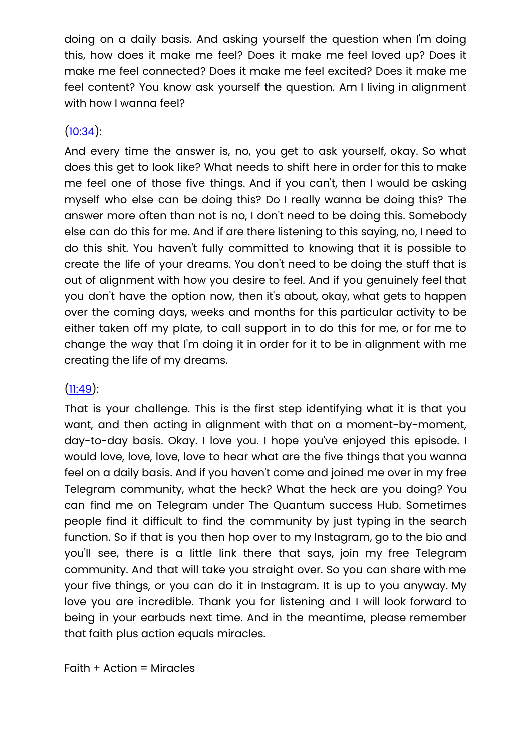doing on a daily basis. And asking yourself the question when I'm doing this, how does it make me feel? Does it make me feel loved up? Does it make me feel connected? Does it make me feel excited? Does it make me feel content? You know ask yourself the question. Am I living in alignment with how I wanna feel?

# $(10:34):$  $(10:34):$

And every time the answer is, no, you get to ask yourself, okay. So what does this get to look like? What needs to shift here in order for this to make me feel one of those five things. And if you can't, then I would be asking myself who else can be doing this? Do I really wanna be doing this? The answer more often than not is no, I don't need to be doing this. Somebody else can do this for me. And if are there listening to this saying, no, I need to do this shit. You haven't fully committed to knowing that it is possible to create the life of your dreams. You don't need to be doing the stuff that is out of alignment with how you desire to feel. And if you genuinely feel that you don't have the option now, then it's about, okay, what gets to happen over the coming days, weeks and months for this particular activity to be either taken off my plate, to call support in to do this for me, or for me to change the way that I'm doing it in order for it to be in alignment with me creating the life of my dreams.

## $(11:49)$ :

That is your challenge. This is the first step identifying what it is that you want, and then acting in alignment with that on a moment-by-moment, day-to-day basis. Okay. I love you. I hope you've enjoyed this episode. I would love, love, love, love to hear what are the five things that you wanna feel on a daily basis. And if you haven't come and joined me over in my free Telegram community, what the heck? What the heck are you doing? You can find me on Telegram under The Quantum success Hub. Sometimes people find it difficult to find the community by just typing in the search function. So if that is you then hop over to my Instagram, go to the bio and you'll see, there is a little link there that says, join my free Telegram community. And that will take you straight over. So you can share with me your five things, or you can do it in Instagram. It is up to you anyway. My love you are incredible. Thank you for listening and I will look forward to being in your earbuds next time. And in the meantime, please remember that faith plus action equals miracles.

Faith + Action = Miracles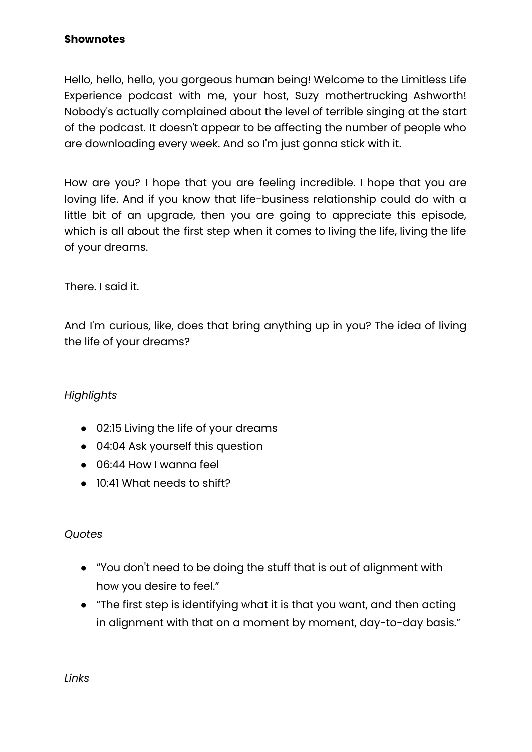#### **Shownotes**

Hello, hello, hello, you gorgeous human being! Welcome to the Limitless Life Experience podcast with me, your host, Suzy mothertrucking Ashworth! Nobody's actually complained about the level of terrible singing at the start of the podcast. It doesn't appear to be affecting the number of people who are downloading every week. And so I'm just gonna stick with it.

How are you? I hope that you are feeling incredible. I hope that you are loving life. And if you know that life-business relationship could do with a little bit of an upgrade, then you are going to appreciate this episode, which is all about the first step when it comes to living the life, living the life of your dreams.

There. I said it.

And I'm curious, like, does that bring anything up in you? The idea of living the life of your dreams?

#### *Highlights*

- 02:15 Living the life of your dreams
- 04:04 Ask yourself this question
- 06:44 How I wanna feel
- 10:41 What needs to shift?

#### *Quotes*

- "You don't need to be doing the stuff that is out of alignment with how you desire to feel."
- "The first step is identifying what it is that you want, and then acting in alignment with that on a moment by moment, day-to-day basis."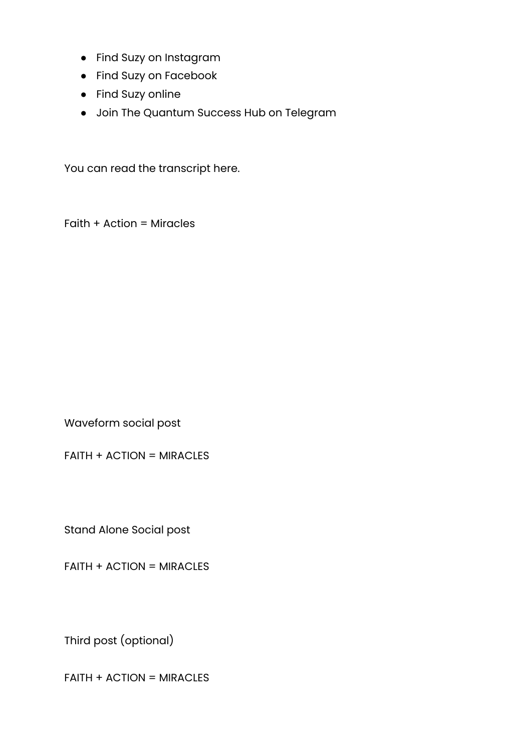- Find Suzy on Instagram
- Find Suzy on Facebook
- Find Suzy online
- Join The Quantum Success Hub on Telegram

You can read the transcript here.

Faith + Action = Miracles

Waveform social post

FAITH + ACTION = MIRACLES

Stand Alone Social post

FAITH + ACTION = MIRACLES

Third post (optional)

FAITH + ACTION = MIRACLES